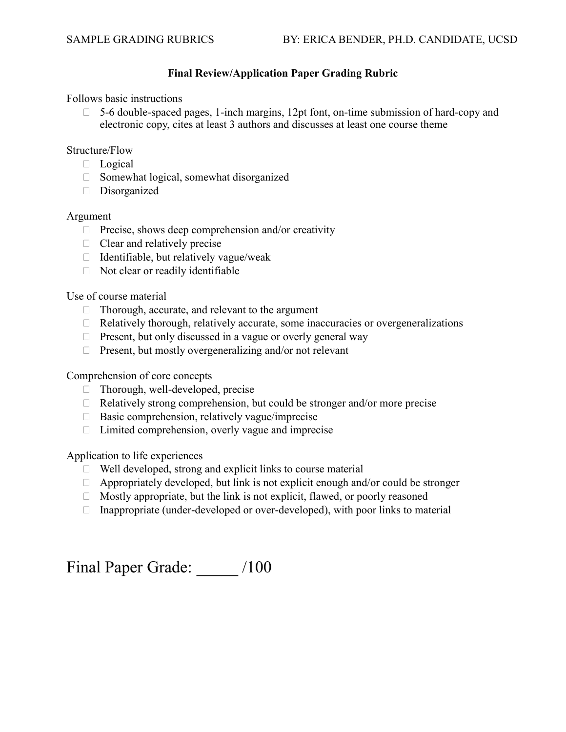## **Final Review/Application Paper Grading Rubric**

Follows basic instructions

 $\Box$  5-6 double-spaced pages, 1-inch margins, 12pt font, on-time submission of hard-copy and electronic copy, cites at least 3 authors and discusses at least one course theme

#### Structure/Flow

- D Logical
- $\Box$  Somewhat logical, somewhat disorganized
- Disorganized

#### Argument

- $\Box$  Precise, shows deep comprehension and/or creativity
- $\Box$  Clear and relatively precise
- $\Box$  Identifiable, but relatively vague/weak
- $\Box$  Not clear or readily identifiable

## Use of course material

- □ Thorough, accurate, and relevant to the argument
- $\Box$  Relatively thorough, relatively accurate, some inaccuracies or overgeneralizations
- $\Box$  Present, but only discussed in a vague or overly general way
- $\Box$  Present, but mostly overgeneralizing and/or not relevant

## Comprehension of core concepts

- $\Box$  Thorough, well-developed, precise
- $\Box$  Relatively strong comprehension, but could be stronger and/or more precise
- $\Box$  Basic comprehension, relatively vague/imprecise
- $\Box$  Limited comprehension, overly vague and imprecise

Application to life experiences

- $\Box$  Well developed, strong and explicit links to course material
- $\Box$  Appropriately developed, but link is not explicit enough and/or could be stronger
- $\Box$  Mostly appropriate, but the link is not explicit, flawed, or poorly reasoned
- $\Box$  Inappropriate (under-developed or over-developed), with poor links to material

Final Paper Grade: \_\_\_\_\_ /100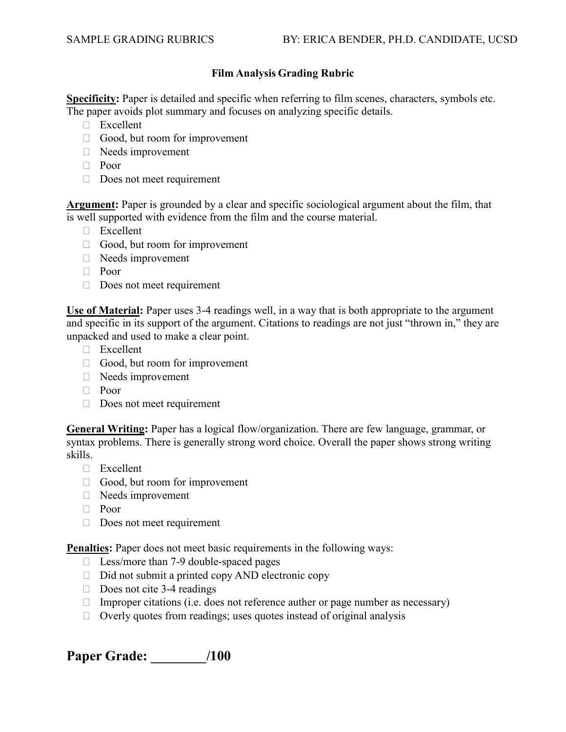# **Film Analysis Grading Rubric**

**Specificity:** Paper is detailed and specific when referring to film scenes, characters, symbols etc. The paper avoids plot summary and focuses on analyzing specific details.

- □ Excellent
- Good, but room for improvement
- Needs improvement
- Poor
- $\Box$  Does not meet requirement

**Argument:** Paper is grounded by a clear and specific sociological argument about the film, that is well supported with evidence from the film and the course material.

- □ Excellent
- Good, but room for improvement
- Needs improvement
- Poor
- Does not meet requirement

**Use of Material:** Paper uses 3-4 readings well, in a way that is both appropriate to the argument and specific in its support of the argument. Citations to readings are not just "thrown in," they are unpacked and used to make a clear point.

- Excellent
- Good, but room for improvement
- Needs improvement
- Poor
- Does not meet requirement

**General Writing:** Paper has a logical flow/organization. There are few language, grammar, or syntax problems. There is generally strong word choice. Overall the paper shows strong writing skills.

- Excellent
- $\Box$  Good, but room for improvement
- Needs improvement
- Poor
- Does not meet requirement

**Penalties:** Paper does not meet basic requirements in the following ways:

- $\Box$  Less/more than 7-9 double-spaced pages
- $\Box$  Did not submit a printed copy AND electronic copy
- $\Box$  Does not cite 3-4 readings
- $\Box$  Improper citations (i.e. does not reference auther or page number as necessary)
- $\Box$  Overly quotes from readings; uses quotes instead of original analysis

**Paper Grade: \_\_\_\_\_\_\_\_/100**